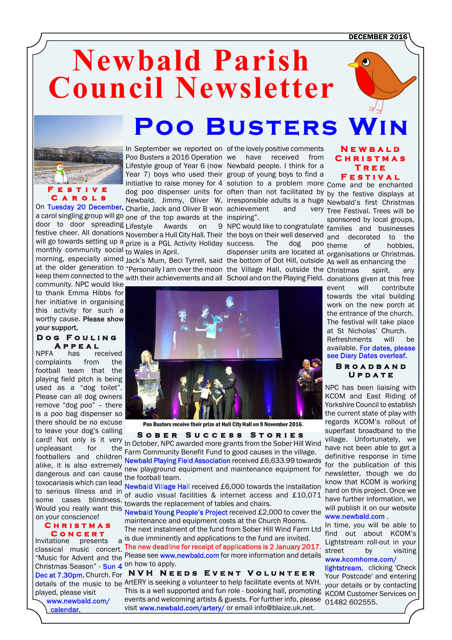DECEMBER 2016

# **Newbald Parish Council Newsletter Poo Busters Wi**



a carol singling group will go <sub>one of</sub> the top awards at the inspiring". door to door spreading Lifestyle monthly community social to Wales in April.

community. NPC would like to thank Emma Hibbs for her initiative in organising this activity for such a worthy cause. Please show your support.

#### **D o g F o u l i n g A p p e a l**

NPFA has received complaints from the football team that the playing field pitch is being used as a "dog toilet". Please can all dog owners remove "dog poo" – there is a poo bag dispenser so there should be no excuse to leave your dog's calling card! Not only is it very footballers and children dangerous and can cause the play bodie of toxocariasis which can lead Would you really want this on your conscience!

## **C h r i s t m a s C o n c e r t**

Invitatione presents Christmas Season" - Sun 4 on how to apply. played, please visit www.newbald.com/ calendar.

Lifestyle Awards on 9 NPC would like to congratulate families and businesses festive cheer. All donations November a Hull City Hall. Their the boys on their well deserved and decorated to the will go towards setting up a prize is a PGL Activity Holiday success. The dog poo

morning, especially aimed Jack's Mum, Beci Tyrrell, said the bottom of Dot Hill, outside As well as enhancing the at the older generation to "Personally I am over the moon the Village Hall, outside the Christmas spirit, any

initiative to raise money for 4 solution to a problem more come and be enchanted dog poo dispenser units for often than not facilitated by by the festive displays at Newbald. Jimmy, Oliver W, irresponsible adults is a huge Newbald's first Christmas On Tuesday 20 December, Charlie, Jack and Oliver B won achievement and very In September we reported on of the lovely positive comments Poo Busters a 2016 Operation we have received from Lifestyle group of Year 6 (now Newbald people. I think for a Year 7) boys who used their group of young boys to find a

dispenser units are located at organisations or Christmas.



Poo Busters receive their prize at Hull City Hall on 9 November 2016.

**S o b e r S u c c e s s S t o r i e s** Laid: Not brilly is it very in October, NPC awarded more grants from the Sober Hill Wind<br>unpleasant for the Earm Community Bonefit Fund to good causes in the village alike, it is also extremely new playground equipment and maintenance equipment for Farm Community Benefit Fund to good causes in the village. Newbald Playing Field Association received £6,633.99 towards

to serious illness and in  $\frac{1}{\sqrt{2}}$  of audio visual facilities & internet access and £10,071 some cases blindness. towards the replacement of tables and chairs. Newbald Village Hall received £6,000 towards the installation

Newbald Young People's Project received £2,000 to cover the maintenance and equipment costs at the Church Rooms.

The next instalment of the fund from Sober Hill Wind Farm Ltd a is due imminently and applications to the fund are invited.

"Musicfor Advent and the Please see www.newbald.com for more information and details classical music concert. The new deadline for receipt of applications is 2 January 2017.

, Church. For **N V H N e e d s E v e n t V o l u n t e e r** details of the music to be ArtERY is seeking a volunteer to help facilitate events at NVH. This is a well supported and fun role - booking hall, promoting KCOM Customer Services on events and welcoming artists & guests. For further info, please 01482 602555.visitwww.newbald.com/artery/ or email info@blaize.uk.net.

### **N e w b a l d C h r i s t m a s T r e e F e s t i v a l**

very Tree Festival. Trees will be sponsored by local groups, theme of hobbies, keep them connected to the with their achievements and all School and on the Playing Field. donations given at this free event will contribute towards the vital building work on the new porch at the entrance of the church. The festival will take place at St Nicholas' Church. Refreshments will be available. For dates, please see Diary Dates overleaf.



NPC has been liaising with KCOM and East Riding of Yorkshire Council to establish the current state of play with regards KCOM's rollout of superfast broadband to the village. Unfortunately, we have not been able to get a definitive response in time for the publication of this newsletter, though we do know that KCOM is working hard on this project. Once we have further information, we will publish it on our website www.newbald.com

In time, you will be able to find out about KCOM's Lightstream roll-out in your street by visiting www.kcomhome.com/

lightstream[,](www.kcomhome.com/lightstream) clicking 'Check Your Postcode' and entering your details or by contacting